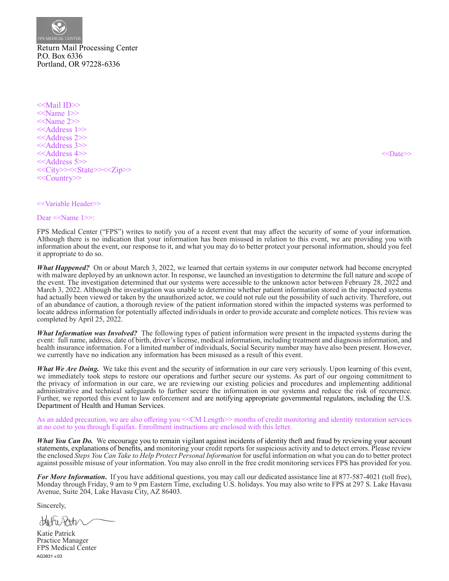

Return Mail Processing Center P.O. Box 6336 Portland, OR 97228-6336

<<Mail ID>> <<Name 1>> <<Name 2>> <<Address 1>> <<Address 2>> <<Address 3>> <<Address 4>> <<Date>> <<Address 5>> <<City>><<State>><<Zip>> <<Country>>

<<Variable Header>>

Dear <<Name 1>>:

FPS Medical Center ("FPS") writes to notify you of a recent event that may affect the security of some of your information. Although there is no indication that your information has been misused in relation to this event, we are providing you with information about the event, our response to it, and what you may do to better protect your personal information, should you feel it appropriate to do so.

*What Happened?* On or about March 3, 2022, we learned that certain systems in our computer network had become encrypted with malware deployed by an unknown actor. In response, we launched an investigation to determine the full nature and scope of the event. The investigation determined that our systems were accessible to the unknown actor between February 28, 2022 and March 3, 2022. Although the investigation was unable to determine whether patient information stored in the impacted systems had actually been viewed or taken by the unauthorized actor, we could not rule out the possibility of such activity. Therefore, out of an abundance of caution, a thorough review of the patient information stored within the impacted systems was performed to locate address information for potentially affected individuals in order to provide accurate and complete notices. This review was completed by April 25, 2022.

*What Information was Involved?* The following types of patient information were present in the impacted systems during the event: full name, address, date of birth, driver's license, medical information, including treatment and diagnosis information, and health insurance information. For a limited number of individuals, Social Security number may have also been present. However, we currently have no indication any information has been misused as a result of this event.

*What We Are Doing.* We take this event and the security of information in our care very seriously. Upon learning of this event, we immediately took steps to restore our operations and further secure our systems. As part of our ongoing commitment to the privacy of information in our care, we are reviewing our existing policies and procedures and implementing additional administrative and technical safeguards to further secure the information in our systems and reduce the risk of recurrence. Further, we reported this event to law enforcement and are notifying appropriate governmental regulators, including the U.S. Department of Health and Human Services.

As an added precaution, we are also offering you <<CM Length>> months of credit monitoring and identity restoration services at no cost to you through Equifax. Enrollment instructions are enclosed with this letter.

*What You Can Do.* We encourage you to remain vigilant against incidents of identity theft and fraud by reviewing your account statements, explanations of benefits, and monitoring your credit reports for suspicious activity and to detect errors. Please review the enclosed *Steps You Can Take to Help Protect Personal Information* for useful information on what you can do to better protect against possible misuse of your information. You may also enroll in the free credit monitoring services FPS has provided for you.

*For More Information*. If you have additional questions, you may call our dedicated assistance line at 877-587-4021 (toll free), Monday through Friday, 9 am to 9 pm Eastern Time, excluding U.S. holidays. You may also write to FPS at 297 S. Lake Havasu Avenue, Suite 204, Lake Havasu City, AZ 86403.

Sincerely,

dotug

AG3831 v.03 Katie Patrick Practice Manager FPS Medical Center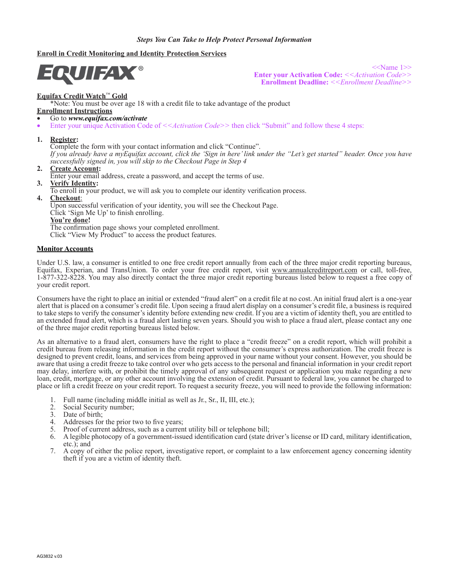## **Enroll in Credit Monitoring and Identity Protection Services**



 $<<$ Name  $1>>$ **Enter your Activation Code:** *<<Activation Code>>* **Enrollment Deadline:** *<<Enrollment Deadline>>*

# **Equifax Credit Watch**™ **Gold**

\*Note: You must be over age 18 with a credit file to take advantage of the product

# **Enrollment Instructions**

- Go to *www.equifax.com/activate*
- Enter your unique Activation Code of  $\leq$  *Activation Code*>> then click "Submit" and follow these 4 steps:

#### **1. Register:**

Complete the form with your contact information and click "Continue". *If you already have a myEquifax account, click the 'Sign in here' link under the "Let's get started" header. Once you have successfully signed in, you will skip to the Checkout Page in Step 4*

**2. Create Account:**

Enter your email address, create a password, and accept the terms of use.

**3. Verify Identity:**

To enroll in your product, we will ask you to complete our identity verification process.

**4. Checkout**:

Upon successful verification of your identity, you will see the Checkout Page. Click 'Sign Me Up' to finish enrolling. **You're done!** The confirmation page shows your completed enrollment. Click "View My Product" to access the product features.

#### **Monitor Accounts**

Under U.S. law, a consumer is entitled to one free credit report annually from each of the three major credit reporting bureaus, Equifax, Experian, and TransUnion. To order your free credit report, visit www.annualcreditreport.com or call, toll-free, 1‑877‑322‑8228. You may also directly contact the three major credit reporting bureaus listed below to request a free copy of your credit report.

Consumers have the right to place an initial or extended "fraud alert" on a credit file at no cost. An initial fraud alert is a one‑year alert that is placed on a consumer's credit file. Upon seeing a fraud alert display on a consumer's credit file, a business is required to take steps to verify the consumer's identity before extending new credit. If you are a victim of identity theft, you are entitled to an extended fraud alert, which is a fraud alert lasting seven years. Should you wish to place a fraud alert, please contact any one of the three major credit reporting bureaus listed below.

As an alternative to a fraud alert, consumers have the right to place a "credit freeze" on a credit report, which will prohibit a credit bureau from releasing information in the credit report without the consumer's express authorization. The credit freeze is designed to prevent credit, loans, and services from being approved in your name without your consent. However, you should be aware that using a credit freeze to take control over who gets access to the personal and financial information in your credit report may delay, interfere with, or prohibit the timely approval of any subsequent request or application you make regarding a new loan, credit, mortgage, or any other account involving the extension of credit. Pursuant to federal law, you cannot be charged to place or lift a credit freeze on your credit report. To request a security freeze, you will need to provide the following information:

- 1. Full name (including middle initial as well as Jr., Sr., II, III, etc.);
- 2. Social Security number;
- 3. Date of birth;
- 4. Addresses for the prior two to five years;
- 5. Proof of current address, such as a current utility bill or telephone bill;
- 6. A legible photocopy of a government‑issued identification card (state driver's license or ID card, military identification, etc.); and
- 7. A copy of either the police report, investigative report, or complaint to a law enforcement agency concerning identity theft if you are a victim of identity theft.